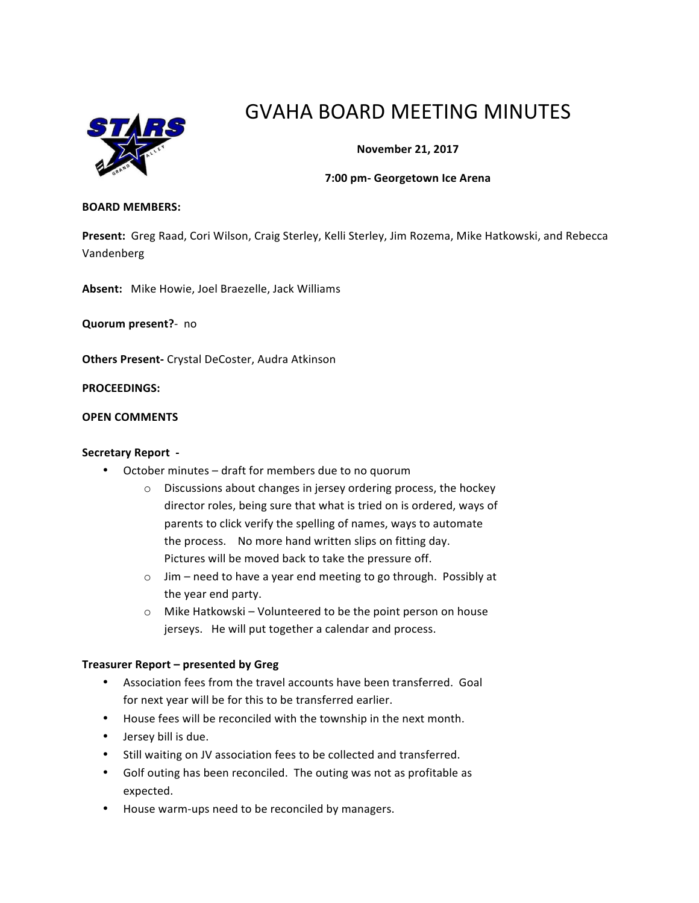

# GVAHA BOARD MEETING MINUTES

# **November 21, 2017**

## **7:00 pm- Georgetown Ice Arena**

#### **BOARD MEMBERS:**

Present: Greg Raad, Cori Wilson, Craig Sterley, Kelli Sterley, Jim Rozema, Mike Hatkowski, and Rebecca Vandenberg

Absent: Mike Howie, Joel Braezelle, Jack Williams

**Quorum present?**- no

**Others Present-** Crystal DeCoster, Audra Atkinson

**PROCEEDINGS:**

## **OPEN COMMENTS**

#### **Secretary Report -**

- October minutes draft for members due to no quorum
	- $\circ$  Discussions about changes in jersey ordering process, the hockey director roles, being sure that what is tried on is ordered, ways of parents to click verify the spelling of names, ways to automate the process. No more hand written slips on fitting day. Pictures will be moved back to take the pressure off.
	- $\circ$  Jim need to have a year end meeting to go through. Possibly at the year end party.
	- $\circ$  Mike Hatkowski Volunteered to be the point person on house jerseys. He will put together a calendar and process.

## **Treasurer Report – presented by Greg**

- Association fees from the travel accounts have been transferred. Goal for next year will be for this to be transferred earlier.
- House fees will be reconciled with the township in the next month.
- Jersey bill is due.
- Still waiting on JV association fees to be collected and transferred.
- Golf outing has been reconciled. The outing was not as profitable as expected.
- House warm-ups need to be reconciled by managers.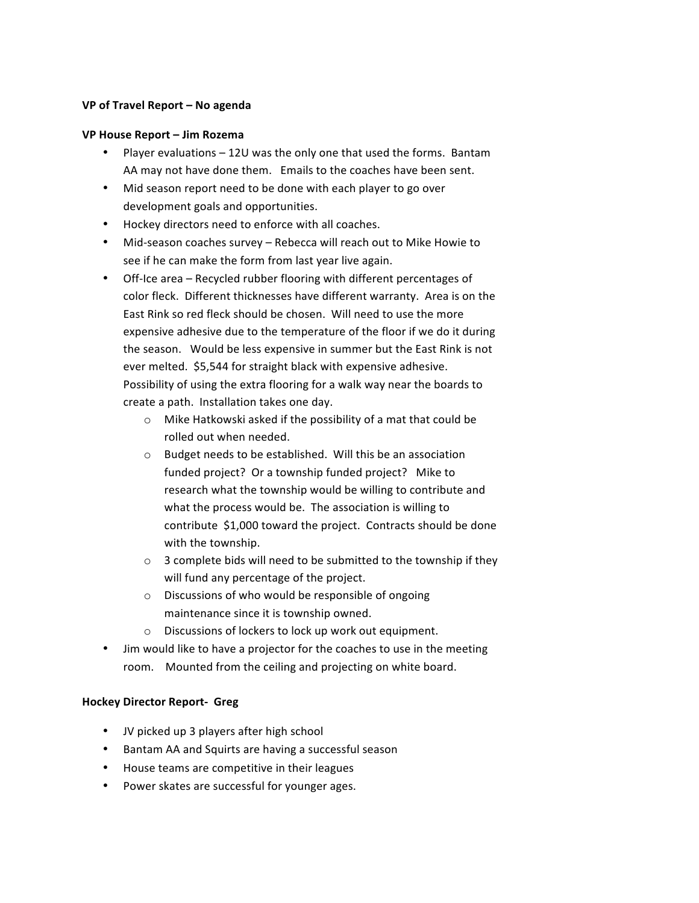## **VP of Travel Report – No agenda**

## **VP House Report – Jim Rozema**

- Player evaluations  $-12U$  was the only one that used the forms. Bantam AA may not have done them. Emails to the coaches have been sent.
- Mid season report need to be done with each player to go over development goals and opportunities.
- Hockey directors need to enforce with all coaches.
- Mid-season coaches survey Rebecca will reach out to Mike Howie to see if he can make the form from last year live again.
- Off-Ice area Recycled rubber flooring with different percentages of color fleck. Different thicknesses have different warranty. Area is on the East Rink so red fleck should be chosen. Will need to use the more expensive adhesive due to the temperature of the floor if we do it during the season. Would be less expensive in summer but the East Rink is not ever melted. \$5,544 for straight black with expensive adhesive. Possibility of using the extra flooring for a walk way near the boards to create a path. Installation takes one day.
	- $\circ$  Mike Hatkowski asked if the possibility of a mat that could be rolled out when needed.
	- $\circ$  Budget needs to be established. Will this be an association funded project? Or a township funded project? Mike to research what the township would be willing to contribute and what the process would be. The association is willing to contribute \$1,000 toward the project. Contracts should be done with the township.
	- $\circ$  3 complete bids will need to be submitted to the township if they will fund any percentage of the project.
	- o Discussions of who would be responsible of ongoing maintenance since it is township owned.
	- $\circ$  Discussions of lockers to lock up work out equipment.
- Jim would like to have a projector for the coaches to use in the meeting room. Mounted from the ceiling and projecting on white board.

# **Hockey Director Report- Greg**

- JV picked up 3 players after high school
- Bantam AA and Squirts are having a successful season
- House teams are competitive in their leagues
- Power skates are successful for younger ages.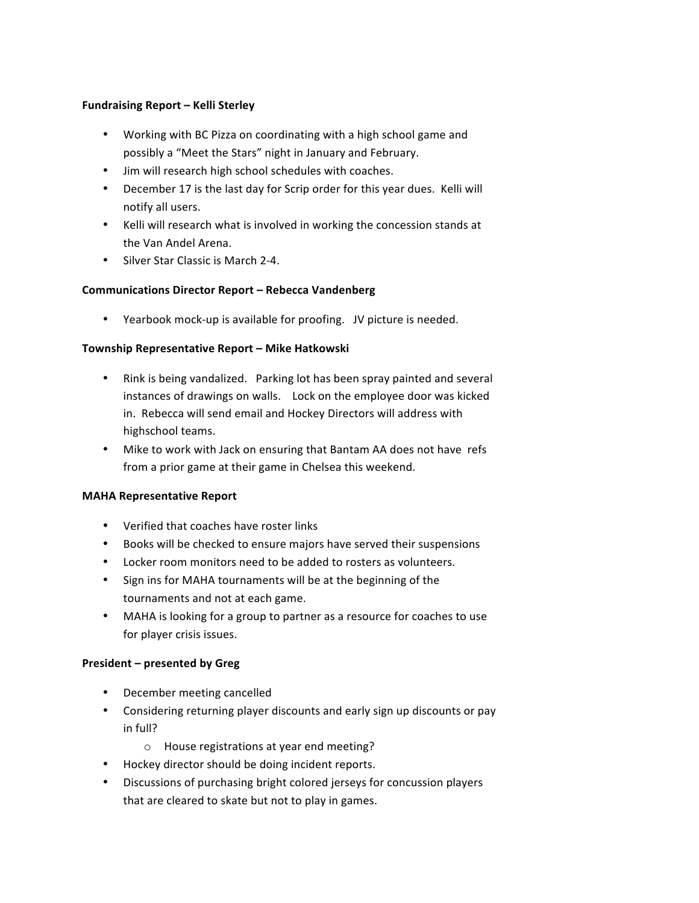# **Fundraising Report – Kelli Sterley**

- Working with BC Pizza on coordinating with a high school game and possibly a "Meet the Stars" night in January and February.
- Jim will research high school schedules with coaches.
- December 17 is the last day for Scrip order for this year dues. Kelli will notify all users.
- Kelli will research what is involved in working the concession stands at the Van Andel Arena.
- Silver Star Classic is March 2-4.

# **Communications Director Report – Rebecca Vandenberg**

• Yearbook mock-up is available for proofing. JV picture is needed.

# **Township Representative Report – Mike Hatkowski**

- Rink is being vandalized. Parking lot has been spray painted and several instances of drawings on walls. Lock on the employee door was kicked in. Rebecca will send email and Hockey Directors will address with highschool teams.
- Mike to work with Jack on ensuring that Bantam AA does not have refs from a prior game at their game in Chelsea this weekend.

## **MAHA Representative Report**

- Verified that coaches have roster links
- Books will be checked to ensure majors have served their suspensions
- Locker room monitors need to be added to rosters as volunteers.
- Sign ins for MAHA tournaments will be at the beginning of the tournaments and not at each game.
- MAHA is looking for a group to partner as a resource for coaches to use for player crisis issues.

# **President – presented by Greg**

- December meeting cancelled
- Considering returning player discounts and early sign up discounts or pay in full?
	- o House registrations at year end meeting?
- Hockey director should be doing incident reports.
- Discussions of purchasing bright colored jerseys for concussion players that are cleared to skate but not to play in games.